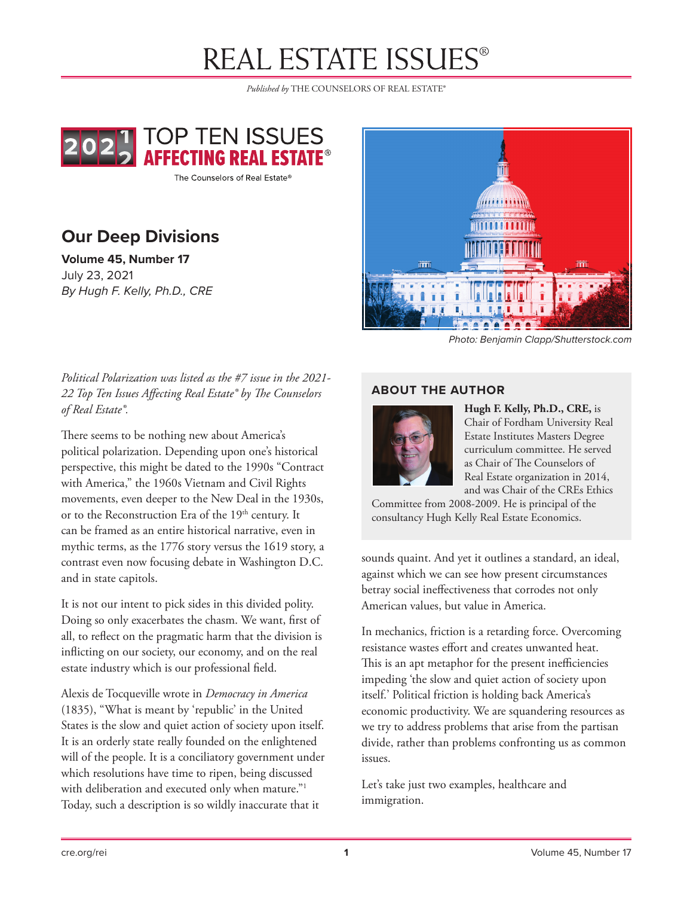# **REAL ESTATE ISSUES®**

*Published by* THE COUNSELORS OF REAL ESTATE®



The Counselors of Real Estate®

# **Our Deep Divisions**

**Volume 45, Number 17** July 23, 2021 *By Hugh F. Kelly, Ph.D., CRE*



*Photo: Benjamin Clapp/Shutterstock.com*

### *Political Polarization was listed as the #7 issue in the 2021- 22 Top Ten Issues Affecting Real Estate® by The Counselors of Real Estate®.*

There seems to be nothing new about America's political polarization. Depending upon one's historical perspective, this might be dated to the 1990s "Contract with America," the 1960s Vietnam and Civil Rights movements, even deeper to the New Deal in the 1930s, or to the Reconstruction Era of the 19<sup>th</sup> century. It can be framed as an entire historical narrative, even in mythic terms, as the 1776 story versus the 1619 story, a contrast even now focusing debate in Washington D.C. and in state capitols.

It is not our intent to pick sides in this divided polity. Doing so only exacerbates the chasm. We want, first of all, to reflect on the pragmatic harm that the division is inflicting on our society, our economy, and on the real estate industry which is our professional field.

Alexis de Tocqueville wrote in *Democracy in America*  (1835), "What is meant by 'republic' in the United States is the slow and quiet action of society upon itself. It is an orderly state really founded on the enlightened will of the people. It is a conciliatory government under which resolutions have time to ripen, being discussed with deliberation and executed only when mature."<sup>1</sup> Today, such a description is so wildly inaccurate that it

#### **ABOUT THE AUTHOR**



**Hugh F. Kelly, Ph.D., CRE,** is Chair of Fordham University Real Estate Institutes Masters Degree curriculum committee. He served as Chair of The Counselors of Real Estate organization in 2014, and was Chair of the CREs Ethics

Committee from 2008-2009. He is principal of the consultancy Hugh Kelly Real Estate Economics.

sounds quaint. And yet it outlines a standard, an ideal, against which we can see how present circumstances betray social ineffectiveness that corrodes not only American values, but value in America.

In mechanics, friction is a retarding force. Overcoming resistance wastes effort and creates unwanted heat. This is an apt metaphor for the present inefficiencies impeding 'the slow and quiet action of society upon itself.' Political friction is holding back America's economic productivity. We are squandering resources as we try to address problems that arise from the partisan divide, rather than problems confronting us as common issues.

Let's take just two examples, healthcare and immigration.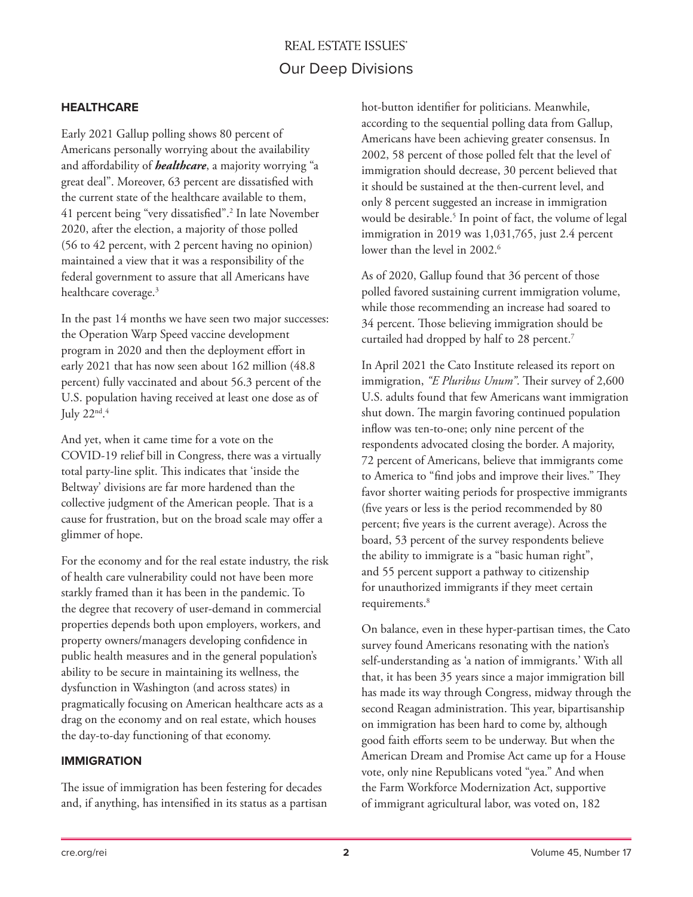## **REAL ESTATE ISSUES®** Our Deep Divisions

#### **HEALTHCARE**

Early 2021 Gallup polling shows 80 percent of Americans personally worrying about the availability and affordability of *healthcare*, a majority worrying "a great deal". Moreover, 63 percent are dissatisfied with the current state of the healthcare available to them, 41 percent being "very dissatisfied".2 In late November 2020, after the election, a majority of those polled (56 to 42 percent, with 2 percent having no opinion) maintained a view that it was a responsibility of the federal government to assure that all Americans have healthcare coverage.<sup>3</sup>

In the past 14 months we have seen two major successes: the Operation Warp Speed vaccine development program in 2020 and then the deployment effort in early 2021 that has now seen about 162 million (48.8 percent) fully vaccinated and about 56.3 percent of the U.S. population having received at least one dose as of July 22nd. 4

And yet, when it came time for a vote on the COVID-19 relief bill in Congress, there was a virtually total party-line split. This indicates that 'inside the Beltway' divisions are far more hardened than the collective judgment of the American people. That is a cause for frustration, but on the broad scale may offer a glimmer of hope.

For the economy and for the real estate industry, the risk of health care vulnerability could not have been more starkly framed than it has been in the pandemic. To the degree that recovery of user-demand in commercial properties depends both upon employers, workers, and property owners/managers developing confidence in public health measures and in the general population's ability to be secure in maintaining its wellness, the dysfunction in Washington (and across states) in pragmatically focusing on American healthcare acts as a drag on the economy and on real estate, which houses the day-to-day functioning of that economy.

#### **IMMIGRATION**

The issue of immigration has been festering for decades and, if anything, has intensified in its status as a partisan

hot-button identifier for politicians. Meanwhile, according to the sequential polling data from Gallup, Americans have been achieving greater consensus. In 2002, 58 percent of those polled felt that the level of immigration should decrease, 30 percent believed that it should be sustained at the then-current level, and only 8 percent suggested an increase in immigration would be desirable.<sup>5</sup> In point of fact, the volume of legal immigration in 2019 was 1,031,765, just 2.4 percent lower than the level in 2002.<sup>6</sup>

As of 2020, Gallup found that 36 percent of those polled favored sustaining current immigration volume, while those recommending an increase had soared to 34 percent. Those believing immigration should be curtailed had dropped by half to 28 percent.<sup>7</sup>

In April 2021 the Cato Institute released its report on immigration, *"E Pluribus Unum"*. Their survey of 2,600 U.S. adults found that few Americans want immigration shut down. The margin favoring continued population inflow was ten-to-one; only nine percent of the respondents advocated closing the border. A majority, 72 percent of Americans, believe that immigrants come to America to "find jobs and improve their lives." They favor shorter waiting periods for prospective immigrants (five years or less is the period recommended by 80 percent; five years is the current average). Across the board, 53 percent of the survey respondents believe the ability to immigrate is a "basic human right", and 55 percent support a pathway to citizenship for unauthorized immigrants if they meet certain requirements.<sup>8</sup>

On balance, even in these hyper-partisan times, the Cato survey found Americans resonating with the nation's self-understanding as 'a nation of immigrants.' With all that, it has been 35 years since a major immigration bill has made its way through Congress, midway through the second Reagan administration. This year, bipartisanship on immigration has been hard to come by, although good faith efforts seem to be underway. But when the American Dream and Promise Act came up for a House vote, only nine Republicans voted "yea." And when the Farm Workforce Modernization Act, supportive of immigrant agricultural labor, was voted on, 182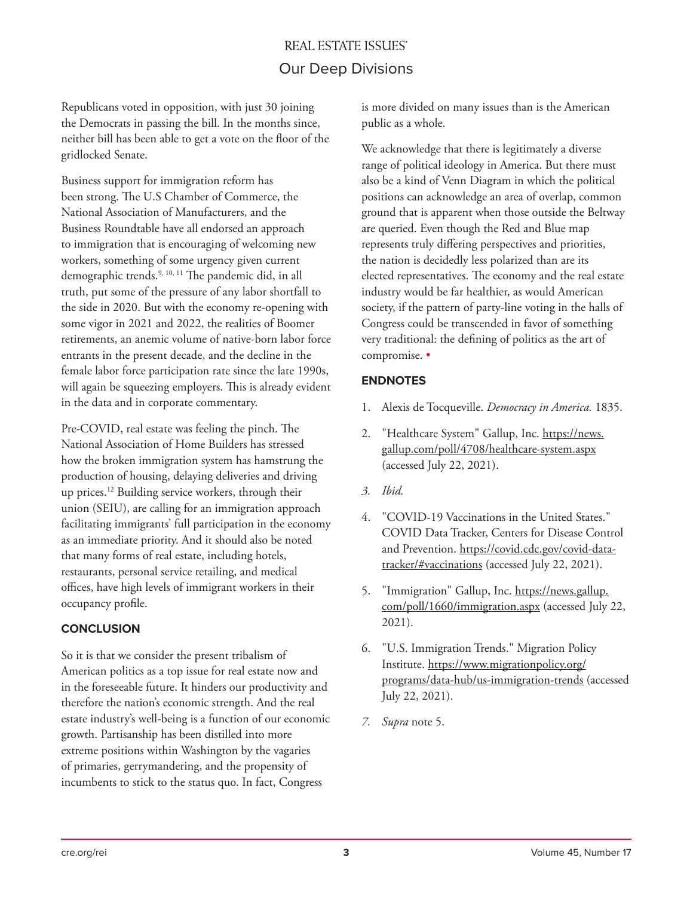## **REAL ESTATE ISSUES** Our Deep Divisions

Republicans voted in opposition, with just 30 joining the Democrats in passing the bill. In the months since, neither bill has been able to get a vote on the floor of the gridlocked Senate.

Business support for immigration reform has been strong. The U.S Chamber of Commerce, the National Association of Manufacturers, and the Business Roundtable have all endorsed an approach to immigration that is encouraging of welcoming new workers, something of some urgency given current demographic trends.9, 10, 11 The pandemic did, in all truth, put some of the pressure of any labor shortfall to the side in 2020. But with the economy re-opening with some vigor in 2021 and 2022, the realities of Boomer retirements, an anemic volume of native-born labor force entrants in the present decade, and the decline in the female labor force participation rate since the late 1990s, will again be squeezing employers. This is already evident in the data and in corporate commentary.

Pre-COVID, real estate was feeling the pinch. The National Association of Home Builders has stressed how the broken immigration system has hamstrung the production of housing, delaying deliveries and driving up prices.12 Building service workers, through their union (SEIU), are calling for an immigration approach facilitating immigrants' full participation in the economy as an immediate priority. And it should also be noted that many forms of real estate, including hotels, restaurants, personal service retailing, and medical offices, have high levels of immigrant workers in their occupancy profile.

#### **CONCLUSION**

So it is that we consider the present tribalism of American politics as a top issue for real estate now and in the foreseeable future. It hinders our productivity and therefore the nation's economic strength. And the real estate industry's well-being is a function of our economic growth. Partisanship has been distilled into more extreme positions within Washington by the vagaries of primaries, gerrymandering, and the propensity of incumbents to stick to the status quo. In fact, Congress

is more divided on many issues than is the American public as a whole.

We acknowledge that there is legitimately a diverse range of political ideology in America. But there must also be a kind of Venn Diagram in which the political positions can acknowledge an area of overlap, common ground that is apparent when those outside the Beltway are queried. Even though the Red and Blue map represents truly differing perspectives and priorities, the nation is decidedly less polarized than are its elected representatives. The economy and the real estate industry would be far healthier, as would American society, if the pattern of party-line voting in the halls of Congress could be transcended in favor of something very traditional: the defining of politics as the art of compromise. •

#### **ENDNOTES**

- 1. Alexis de Tocqueville. *Democracy in America.* 1835.
- 2. "Healthcare System" Gallup, Inc. https://news. gallup.com/poll/4708/healthcare-system.aspx (accessed July 22, 2021).
- *3. Ibid.*
- 4. "COVID-19 Vaccinations in the United States." COVID Data Tracker, Centers for Disease Control and Prevention. https://covid.cdc.gov/covid-datatracker/#vaccinations (accessed July 22, 2021).
- 5. "Immigration" Gallup, Inc. https://news.gallup. com/poll/1660/immigration.aspx (accessed July 22, 2021).
- 6. "U.S. Immigration Trends." Migration Policy Institute. https://www.migrationpolicy.org/ programs/data-hub/us-immigration-trends (accessed July 22, 2021).
- *7. Supra* note 5.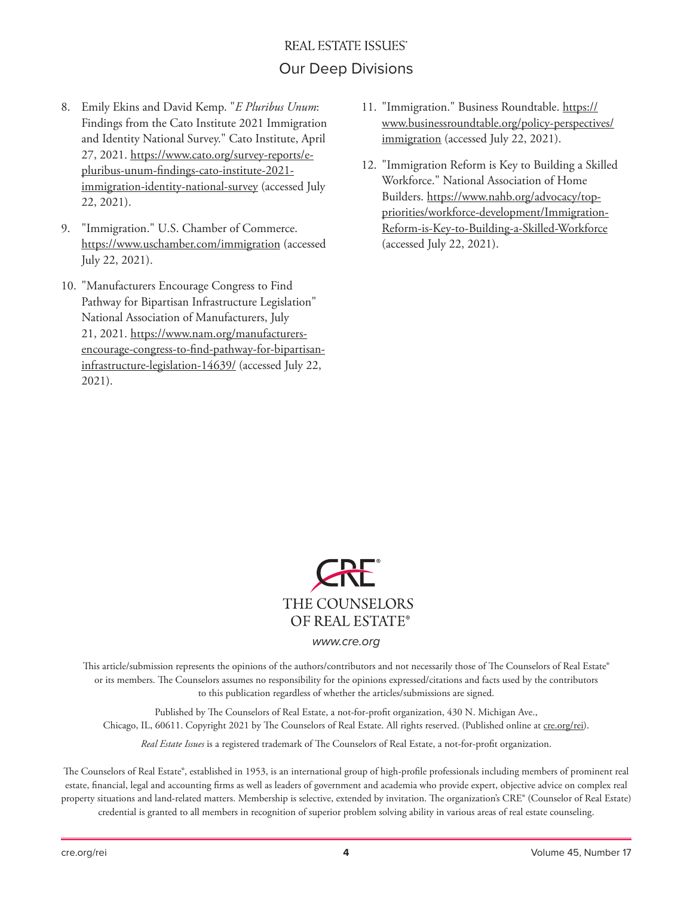## **REAL ESTATE ISSUES®** Our Deep Divisions

- 8. Emily Ekins and David Kemp. "*E Pluribus Unum*: Findings from the Cato Institute 2021 Immigration and Identity National Survey." Cato Institute, April 27, 2021. https://www.cato.org/survey-reports/epluribus-unum-findings-cato-institute-2021 immigration-identity-national-survey (accessed July 22, 2021).
- 9. "Immigration." U.S. Chamber of Commerce. https://www.uschamber.com/immigration (accessed July 22, 2021).
- 10. "Manufacturers Encourage Congress to Find Pathway for Bipartisan Infrastructure Legislation" National Association of Manufacturers, July 21, 2021. https://www.nam.org/manufacturersencourage-congress-to-find-pathway-for-bipartisaninfrastructure-legislation-14639/ (accessed July 22, 2021).
- 11. "Immigration." Business Roundtable. https:// www.businessroundtable.org/policy-perspectives/ immigration (accessed July 22, 2021).
- 12. "Immigration Reform is Key to Building a Skilled Workforce." National Association of Home Builders. https://www.nahb.org/advocacy/toppriorities/workforce-development/Immigration-Reform-is-Key-to-Building-a-Skilled-Workforce (accessed July 22, 2021).



*www.cre.org*

This article/submission represents the opinions of the authors/contributors and not necessarily those of The Counselors of Real Estate® or its members. The Counselors assumes no responsibility for the opinions expressed/citations and facts used by the contributors to this publication regardless of whether the articles/submissions are signed.

Published by The Counselors of Real Estate, a not-for-profit organization, 430 N. Michigan Ave., Chicago, IL, 60611. Copyright 2021 by The Counselors of Real Estate. All rights reserved. (Published online at cre.org/rei).

*Real Estate Issues* is a registered trademark of The Counselors of Real Estate, a not-for-profit organization.

The Counselors of Real Estate®, established in 1953, is an international group of high-profile professionals including members of prominent real estate, financial, legal and accounting firms as well as leaders of government and academia who provide expert, objective advice on complex real property situations and land-related matters. Membership is selective, extended by invitation. The organization's CRE® (Counselor of Real Estate) credential is granted to all members in recognition of superior problem solving ability in various areas of real estate counseling.